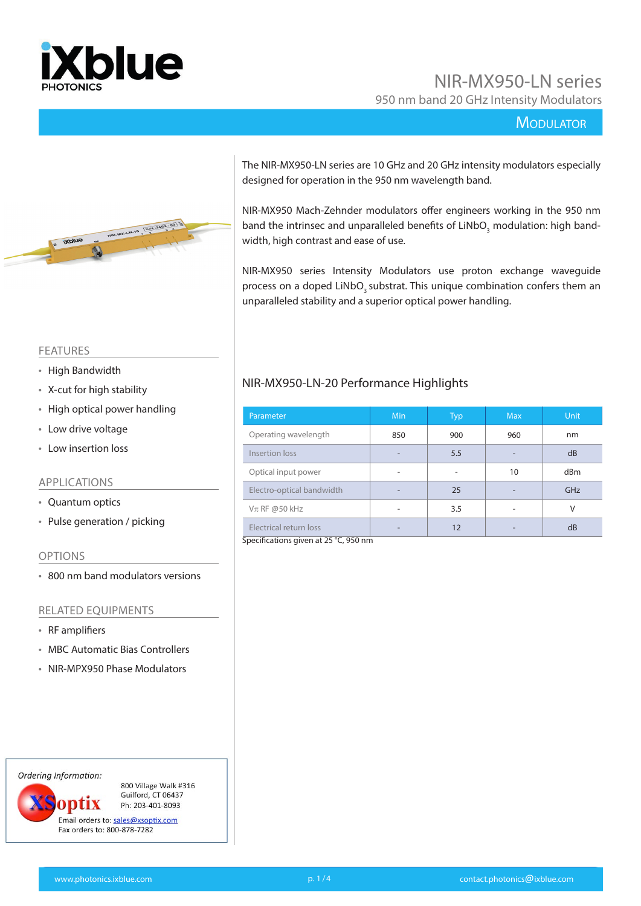

# NIR-MX950-LN series 950 nm band 20 GHz Intensity Modulators

#### **MODULATOR**



The NIR-MX950-LN series are 10 GHz and 20 GHz intensity modulators especially designed for operation in the 950 nm wavelength band.

NIR-MX950 Mach-Zehnder modulators offer engineers working in the 950 nm band the intrinsec and unparalleled benefits of LiNbO<sub>3</sub> modulation: high bandwidth, high contrast and ease of use.

NIR-MX950 series Intensity Modulators use proton exchange waveguide process on a doped LiNbO<sub>2</sub> substrat. This unique combination confers them an unparalleled stability and a superior optical power handling.

#### FEATURES

- High Bandwidth
- X-cut for high stability
- High optical power handling
- Low drive voltage
- Low insertion loss

#### APPLICATIONS

- Quantum optics
- Pulse generation / picking

#### OPTIONS

• 800 nm band modulators versions

#### RELATED EQUIPMENTS

- RF amplifiers
- MBC Automatic Bias Controllers
- NIR-MPX950 Phase Modulators

Ordering Information:

800 Village Walk #316 Guilford, CT 06437 optix Ph: 203-401-8093

Email orders to: sales@xsoptix.com Fax orders to: 800-878-7282

#### Operating wavelength 850 900 960 nm

NIR-MX950-LN-20 Performance Highlights

| <b>OPERALLLY WAVEIERGLIT</b> | טכס | ンソリ | <b>YUU</b> | ,,,,, |
|------------------------------|-----|-----|------------|-------|
| Insertion loss               |     | 5.5 |            | dB    |
| Optical input power          |     |     | 10         | dBm   |
| Electro-optical bandwidth    |     | 25  |            | GHz   |
| $V\pi$ RF @50 kHz            |     | 3.5 |            |       |
| Electrical return loss       |     | 12  |            | dB    |

Parameter Min Min Typ Max Unit

Specifications given at 25 °C, 950 nm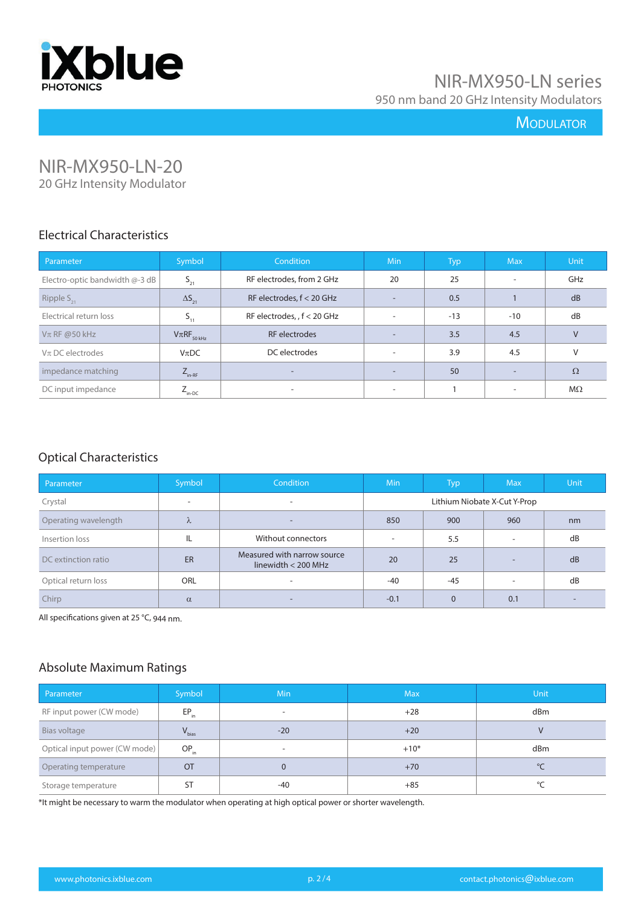

# NIR-MX950-LN series 950 nm band 20 GHz Intensity Modulators

## **MODULATOR**

## NIR-MX950-LN-20 20 GHz Intensity Modulator

#### Electrical Characteristics

| Parameter                      | Symbol              | Condition                   | <b>Min</b> | Typ,  | <b>Max</b>               | <b>Unit</b> |
|--------------------------------|---------------------|-----------------------------|------------|-------|--------------------------|-------------|
| Electro-optic bandwidth @-3 dB | $S_{21}$            | RF electrodes, from 2 GHz   | 20         | 25    | $\overline{\phantom{a}}$ | GHz         |
| Ripple $S_{21}$                | $\Delta S_{21}$     | RF electrodes, $f < 20$ GHz | н.         | 0.5   |                          | dB          |
| Electrical return loss         | $S_{11}$            | RF electrodes, , f < 20 GHz | $\sim$     | $-13$ | $-10$                    | dB          |
| $V\pi$ RF @50 kHz              | $V\pi RF_{50\,kHz}$ | RF electrodes               | $\sim$     | 3.5   | 4.5                      | $\vee$      |
| $V\pi$ DC electrodes           | $V_{\pi}DC$         | DC electrodes               | $\sim$     | 3.9   | 4.5                      | V           |
| impedance matching             | $Z_{\text{in-RF}}$  | $\overline{\phantom{a}}$    | $\sim$     | 50    | $\overline{\phantom{a}}$ | $\Omega$    |
| DC input impedance             | $Z_{\text{in-DC}}$  | $\overline{\phantom{a}}$    | $\sim$     |       | $\overline{\phantom{a}}$ | $M\Omega$   |

## Optical Characteristics

| Parameter            | Symbol                   | <b>Condition</b>                                     | <b>Min</b>               | Typ.           | <b>Max</b>                   | <b>Unit</b> |
|----------------------|--------------------------|------------------------------------------------------|--------------------------|----------------|------------------------------|-------------|
| Crystal              | $\overline{\phantom{a}}$ |                                                      |                          |                | Lithium Niobate X-Cut Y-Prop |             |
| Operating wavelength | λ                        | -                                                    | 850                      | 900            | 960                          | nm          |
| Insertion loss       | IL                       | Without connectors                                   | $\overline{\phantom{a}}$ | 5.5            | $\overline{\phantom{a}}$     | dB          |
| DC extinction ratio  | ER                       | Measured with narrow source<br>linewidth $<$ 200 MHz | 20                       | 25             | $\overline{\phantom{a}}$     | dB          |
| Optical return loss  | <b>ORL</b>               | ۰                                                    | $-40$                    | $-45$          | $\overline{\phantom{a}}$     | dB          |
| Chirp                | $\alpha$                 | -                                                    | $-0.1$                   | $\overline{0}$ | 0.1                          |             |

All specifications given at 25 °C, 944 nm.

## Absolute Maximum Ratings

| Parameter                     | Symbol     | Min                      | <b>Max</b> | Unit         |
|-------------------------------|------------|--------------------------|------------|--------------|
| RF input power (CW mode)      | $EP_{in}$  | $\overline{\phantom{a}}$ | $+28$      | dBm          |
| Bias voltage                  | $V_{bias}$ | $-20$                    | $+20$      | V            |
| Optical input power (CW mode) | $OP_{in}$  | $\overline{\phantom{a}}$ | $+10*$     | dBm          |
| Operating temperature         | <b>OT</b>  | $\mathbf{0}$             | $+70$      | $^{\circ}$ C |
| Storage temperature           | ST         | $-40$                    | $+85$      | °C           |

\*It might be necessary to warm the modulator when operating at high optical power or shorter wavelength.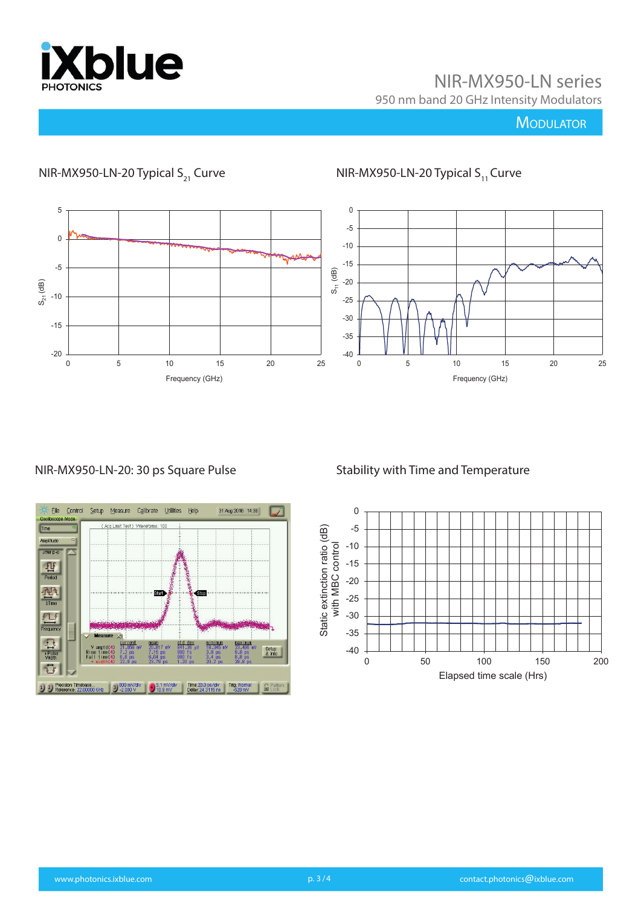

NIR-MX950-LN series 950 nm band 20 GHz Intensity Modulators

# **MODULATOR**



# NIR-MX950-LN-20 Typical S<sub>21</sub> Curve  $NIR-MX950$ -LN-20 Typical S<sub>11</sub> Curve

#### NIR-MX950-LN-20: 30 ps Square Pulse

#### Stability with Time and Temperature